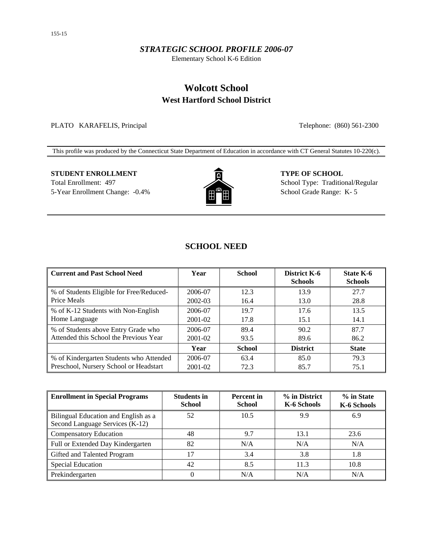#### *STRATEGIC SCHOOL PROFILE 2006-07*

Elementary School K-6 Edition

# **Wolcott School West Hartford School District**

PLATO KARAFELIS, Principal Telephone: (860) 561-2300

This profile was produced by the Connecticut State Department of Education in accordance with CT General Statutes 10-220(c).

# **STUDENT ENROLLMENT TYPE OF SCHOOL** Total Enrollment: 497 School Type: Traditional/Regular



5-Year Enrollment Change: -0.4% **School Grade Range: K-5** School Grade Range: K-5

## **SCHOOL NEED**

| <b>Current and Past School Need</b>      | Year    | <b>School</b> | District K-6<br><b>Schools</b> | State K-6<br><b>Schools</b> |
|------------------------------------------|---------|---------------|--------------------------------|-----------------------------|
| % of Students Eligible for Free/Reduced- | 2006-07 | 12.3          | 13.9                           | 27.7                        |
| Price Meals                              | 2002-03 | 16.4          | 13.0                           | 28.8                        |
| % of K-12 Students with Non-English      | 2006-07 | 19.7          | 17.6                           | 13.5                        |
| Home Language                            | 2001-02 | 17.8          | 15.1                           | 14.1                        |
| % of Students above Entry Grade who      | 2006-07 | 89.4          | 90.2                           | 87.7                        |
| Attended this School the Previous Year   | 2001-02 | 93.5          | 89.6                           | 86.2                        |
|                                          | Year    | <b>School</b> | <b>District</b>                | <b>State</b>                |
| % of Kindergarten Students who Attended  | 2006-07 | 63.4          | 85.0                           | 79.3                        |
| Preschool, Nursery School or Headstart   | 2001-02 | 72.3          | 85.7                           | 75.1                        |

| <b>Enrollment in Special Programs</b>                                   | <b>Students in</b><br><b>School</b> | <b>Percent</b> in<br><b>School</b> | % in District<br>K-6 Schools | % in State<br>K-6 Schools |
|-------------------------------------------------------------------------|-------------------------------------|------------------------------------|------------------------------|---------------------------|
| Bilingual Education and English as a<br>Second Language Services (K-12) | 52                                  | 10.5                               | 9.9                          | 6.9                       |
| <b>Compensatory Education</b>                                           | 48                                  | 9.7                                | 13.1                         | 23.6                      |
| Full or Extended Day Kindergarten                                       | 82                                  | N/A                                | N/A                          | N/A                       |
| Gifted and Talented Program                                             | 17                                  | 3.4                                | 3.8                          | 1.8                       |
| <b>Special Education</b>                                                | 42                                  | 8.5                                | 11.3                         | 10.8                      |
| Prekindergarten                                                         |                                     | N/A                                | N/A                          | N/A                       |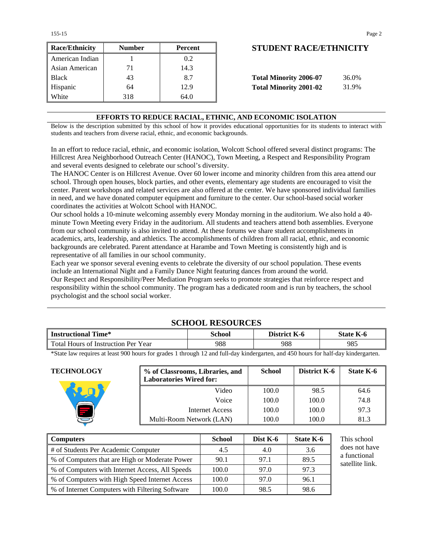| <b>Race/Ethnicity</b> | <b>Number</b> | Percent | <b>STUDENT RACE/ETHNICIT</b>           |
|-----------------------|---------------|---------|----------------------------------------|
| American Indian       |               | 0.2     |                                        |
| Asian American        | 71            | 14.3    |                                        |
| <b>Black</b>          | 43            | 8.7     | <b>Total Minority 2006-07</b><br>36.0% |
| Hispanic              | 64            | 12.9    | <b>Total Minority 2001-02</b><br>31.9% |
| White                 | 318           | 64.0    |                                        |

## **Race/Ethnicity Number Percent STUDENT RACE/ETHNICITY**

| <b>Total Minority 2006-07</b> | 36.0% |
|-------------------------------|-------|
| <b>Total Minority 2001-02</b> | 31.9% |

#### **EFFORTS TO REDUCE RACIAL, ETHNIC, AND ECONOMIC ISOLATION**

Below is the description submitted by this school of how it provides educational opportunities for its students to interact with students and teachers from diverse racial, ethnic, and economic backgrounds.

In an effort to reduce racial, ethnic, and economic isolation, Wolcott School offered several distinct programs: The Hillcrest Area Neighborhood Outreach Center (HANOC), Town Meeting, a Respect and Responsibility Program and several events designed to celebrate our school's diversity.

The HANOC Center is on Hillcrest Avenue. Over 60 lower income and minority children from this area attend our school. Through open houses, block parties, and other events, elementary age students are encouraged to visit the center. Parent workshops and related services are also offered at the center. We have sponsored individual families in need, and we have donated computer equipment and furniture to the center. Our school-based social worker coordinates the activities at Wolcott School with HANOC.

Our school holds a 10-minute welcoming assembly every Monday morning in the auditorium. We also hold a 40 minute Town Meeting every Friday in the auditorium. All students and teachers attend both assemblies. Everyone from our school community is also invited to attend. At these forums we share student accomplishments in academics, arts, leadership, and athletics. The accomplishments of children from all racial, ethnic, and economic backgrounds are celebrated. Parent attendance at Harambe and Town Meeting is consistently high and is representative of all families in our school community.

Each year we sponsor several evening events to celebrate the diversity of our school population. These events include an International Night and a Family Dance Night featuring dances from around the world. Our Respect and Responsibility/Peer Mediation Program seeks to promote strategies that reinforce respect and responsibility within the school community. The program has a dedicated room and is run by teachers, the school psychologist and the school social worker.

## **SCHOOL RESOURCES**

| <b>Instructional Time*</b>          | School | District K-6 | <b>State K-6</b> |
|-------------------------------------|--------|--------------|------------------|
| Total Hours of Instruction Per Year | 988    | 988          | 985              |

\*State law requires at least 900 hours for grades 1 through 12 and full-day kindergarten, and 450 hours for half-day kindergarten.

**TECHNOLOGY % of Classrooms, Libraries, and Laboratories Wired for: School District K-6** | **State K-6** Video | 100.0 | 98.5 | 64.6 Voice 100.0 100.0 74.8 Internet Access 100.0 100.0 97.3 Multi-Room Network (LAN)  $\vert$  100.0 100.0 81.3

| <b>Computers</b>                                | <b>School</b> | Dist $K-6$ | State K-6 | This school                     |
|-------------------------------------------------|---------------|------------|-----------|---------------------------------|
| # of Students Per Academic Computer             | 4.5           | 4.0        | 3.6       | does not have                   |
| % of Computers that are High or Moderate Power  | 90.1          | 97.1       | 89.5      | a functional<br>satellite link. |
| % of Computers with Internet Access, All Speeds | 100.0         | 97.0       | 97.3      |                                 |
| % of Computers with High Speed Internet Access  | 100.0         | 97.0       | 96.1      |                                 |
| % of Internet Computers with Filtering Software | 100.0         | 98.5       | 98.6      |                                 |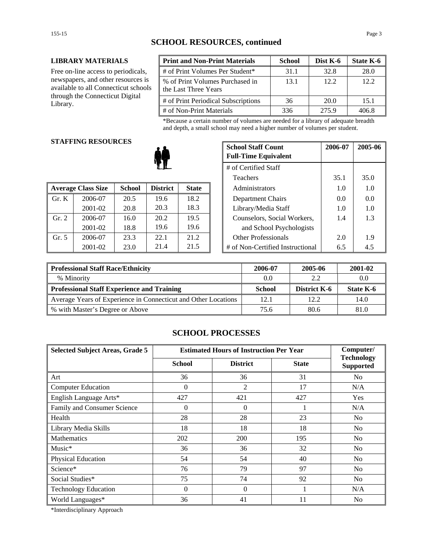### **LIBRARY MATERIALS**

Free on-line access to periodicals, newspapers, and other resources is available to all Connecticut schools through the Connecticut Digital Library.

| <b>Print and Non-Print Materials</b>                    | <b>School</b> | Dist K-6 | State K-6 |
|---------------------------------------------------------|---------------|----------|-----------|
| # of Print Volumes Per Student*                         | 31.1          | 32.8     | 28.0      |
| % of Print Volumes Purchased in<br>the Last Three Years | 13.1          | 12.2     | 12.2      |
| # of Print Periodical Subscriptions                     | 36            | 20.0     | 15.1      |
| # of Non-Print Materials                                | 336           | 275.9    | 406 R     |

\*Because a certain number of volumes are needed for a library of adequate breadth and depth, a small school may need a higher number of volumes per student.

#### **STAFFING RESOURCES**

|       |                           |               |                 |              | 1 vavno                          | --- | JJ.V |
|-------|---------------------------|---------------|-----------------|--------------|----------------------------------|-----|------|
|       | <b>Average Class Size</b> | <b>School</b> | <b>District</b> | <b>State</b> | Administrators                   | 1.0 | 1.0  |
| Gr. K | 2006-07                   | 20.5          | 19.6            | 18.2         | Department Chairs                | 0.0 | 0.0  |
|       | 2001-02                   | 20.8          | 20.3            | 18.3         | Library/Media Staff              | 1.0 | 1.0  |
| Gr. 2 | 2006-07                   | 16.0          | 20.2            | 19.5         | Counselors, Social Workers,      | 1.4 | 1.3  |
|       | 2001-02                   | 18.8          | 19.6            | 19.6         | and School Psychologists         |     |      |
| Gr. 5 | 2006-07                   | 23.3          | 22.1            | 21.2         | <b>Other Professionals</b>       | 2.0 | 1.9  |
|       | 2001-02                   | 23.0          | 21.4            | 21.5         | # of Non-Certified Instructional | 6.5 | 4.5  |

| G KESUUKULS |               |                      | <b>School Staff Count</b><br><b>Full-Time Equivalent</b> | 2006-07             | 2005-06                          |      |     |
|-------------|---------------|----------------------|----------------------------------------------------------|---------------------|----------------------------------|------|-----|
|             |               | # of Certified Staff |                                                          |                     |                                  |      |     |
| Teachers    |               |                      |                                                          |                     | 35.1                             | 35.0 |     |
| 'lass Size  | <b>School</b> | <b>District</b>      | <b>State</b>                                             |                     | Administrators                   | 1.0  | 1.0 |
| 2006-07     | 20.5          | 19.6                 | 18.2                                                     |                     | Department Chairs                | 0.0  | 0.0 |
| 2001-02     | 20.8          | 20.3                 | 18.3                                                     | Library/Media Staff |                                  | 1.0  | 1.0 |
| 2006-07     | 16.0          | 20.2                 | 19.5                                                     |                     | Counselors, Social Workers,      | 1.4  | 1.3 |
| 2001-02     | 18.8          | 19.6                 | 19.6                                                     |                     | and School Psychologists         |      |     |
| 2006-07     | 23.3          | 22.1                 | 21.2                                                     |                     | <b>Other Professionals</b>       | 2.0  | 1.9 |
| 2001-02     | 23.0          | 21.4                 | 21.5                                                     |                     | # of Non-Certified Instructional | 6.5  | 4.5 |

| Professional Staff Race/Ethnicity                              | 2006-07       | 2005-06             | 2001-02   |
|----------------------------------------------------------------|---------------|---------------------|-----------|
| % Minority                                                     | 0.0           | 2.2                 | 0.0       |
| Professional Staff Experience and Training                     | <b>School</b> | <b>District K-6</b> | State K-6 |
| Average Years of Experience in Connecticut and Other Locations | 12.1          | 12.2.               | 14.0      |
| ■ % with Master's Degree or Above                              | 75.6          | 80.6                | 81.0      |

## **SCHOOL PROCESSES**

| <b>Selected Subject Areas, Grade 5</b> | <b>Estimated Hours of Instruction Per Year</b> | Computer/       |              |                                       |
|----------------------------------------|------------------------------------------------|-----------------|--------------|---------------------------------------|
|                                        | <b>School</b>                                  | <b>District</b> | <b>State</b> | <b>Technology</b><br><b>Supported</b> |
| Art                                    | 36                                             | 36              | 31           | No                                    |
| <b>Computer Education</b>              | $\Omega$                                       | 2               | 17           | N/A                                   |
| English Language Arts*                 | 427                                            | 421             | 427          | <b>Yes</b>                            |
| Family and Consumer Science            | $\theta$                                       | $\Omega$        |              | N/A                                   |
| Health                                 | 28                                             | 28              | 23           | No                                    |
| Library Media Skills                   | 18                                             | 18              | 18           | N <sub>0</sub>                        |
| <b>Mathematics</b>                     | 202                                            | 200             | 195          | No                                    |
| $Music*$                               | 36                                             | 36              | 32           | No                                    |
| Physical Education                     | 54                                             | 54              | 40           | No                                    |
| Science*                               | 76                                             | 79              | 97           | N <sub>0</sub>                        |
| Social Studies*                        | 75                                             | 74              | 92           | N <sub>0</sub>                        |
| <b>Technology Education</b>            | $\Omega$                                       | $\Omega$        |              | N/A                                   |
| World Languages*                       | 36                                             | 41              | 11           | N <sub>0</sub>                        |

\*Interdisciplinary Approach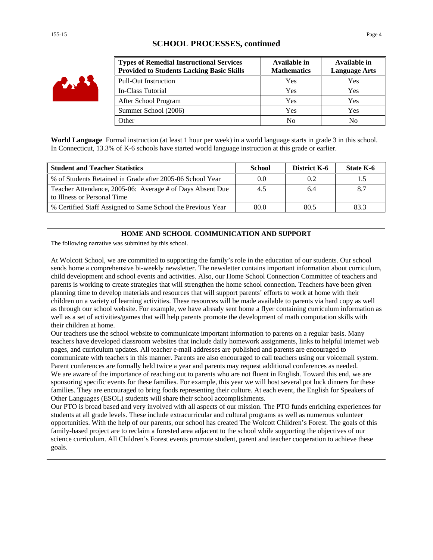## **SCHOOL PROCESSES, continued**

| <b>Types of Remedial Instructional Services</b><br><b>Provided to Students Lacking Basic Skills</b> | Available in<br><b>Mathematics</b> | Available in<br><b>Language Arts</b> |
|-----------------------------------------------------------------------------------------------------|------------------------------------|--------------------------------------|
| <b>Pull-Out Instruction</b>                                                                         | Yes                                | Yes                                  |
| In-Class Tutorial                                                                                   | Yes                                | Yes                                  |
| After School Program                                                                                | Yes                                | Yes                                  |
| Summer School (2006)                                                                                | Yes                                | Yes                                  |
| Other                                                                                               | N <sub>0</sub>                     | No                                   |

**World Language** Formal instruction (at least 1 hour per week) in a world language starts in grade 3 in this school. In Connecticut, 13.3% of K-6 schools have started world language instruction at this grade or earlier.

| <b>Student and Teacher Statistics</b>                                                    | <b>School</b> | District K-6 | State K-6 |
|------------------------------------------------------------------------------------------|---------------|--------------|-----------|
| % of Students Retained in Grade after 2005-06 School Year                                | 0.0           | 0.2          |           |
| Teacher Attendance, 2005-06: Average # of Days Absent Due<br>to Illness or Personal Time | 4.5           | 6.4          |           |
| % Certified Staff Assigned to Same School the Previous Year                              | 80.0          | 80.5         | 833       |

#### **HOME AND SCHOOL COMMUNICATION AND SUPPORT**

The following narrative was submitted by this school.

At Wolcott School, we are committed to supporting the family's role in the education of our students. Our school sends home a comprehensive bi-weekly newsletter. The newsletter contains important information about curriculum, child development and school events and activities. Also, our Home School Connection Committee of teachers and parents is working to create strategies that will strengthen the home school connection. Teachers have been given planning time to develop materials and resources that will support parents' efforts to work at home with their children on a variety of learning activities. These resources will be made available to parents via hard copy as well as through our school website. For example, we have already sent home a flyer containing curriculum information as well as a set of activities/games that will help parents promote the development of math computation skills with their children at home.

Our teachers use the school website to communicate important information to parents on a regular basis. Many teachers have developed classroom websites that include daily homework assignments, links to helpful internet web pages, and curriculum updates. All teacher e-mail addresses are published and parents are encouraged to communicate with teachers in this manner. Parents are also encouraged to call teachers using our voicemail system. Parent conferences are formally held twice a year and parents may request additional conferences as needed. We are aware of the importance of reaching out to parents who are not fluent in English. Toward this end, we are sponsoring specific events for these families. For example, this year we will host several pot luck dinners for these families. They are encouraged to bring foods representing their culture. At each event, the English for Speakers of Other Languages (ESOL) students will share their school accomplishments.

Our PTO is broad based and very involved with all aspects of our mission. The PTO funds enriching experiences for students at all grade levels. These include extracurricular and cultural programs as well as numerous volunteer opportunities. With the help of our parents, our school has created The Wolcott Children's Forest. The goals of this family-based project are to reclaim a forested area adjacent to the school while supporting the objectives of our science curriculum. All Children's Forest events promote student, parent and teacher cooperation to achieve these goals.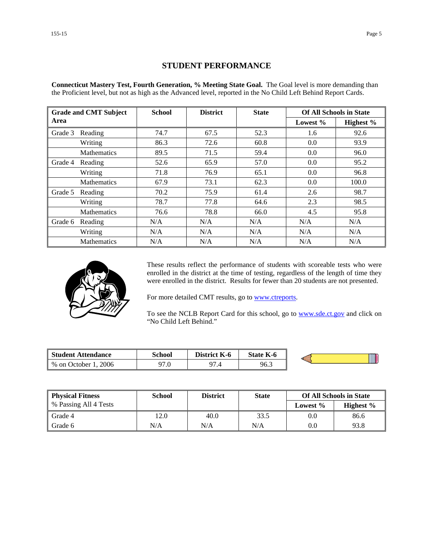### **STUDENT PERFORMANCE**

**Connecticut Mastery Test, Fourth Generation, % Meeting State Goal.** The Goal level is more demanding than the Proficient level, but not as high as the Advanced level, reported in the No Child Left Behind Report Cards.

| <b>Grade and CMT Subject</b> |                    | <b>School</b> | <b>District</b> | <b>State</b> | <b>Of All Schools in State</b> |           |
|------------------------------|--------------------|---------------|-----------------|--------------|--------------------------------|-----------|
| Area                         |                    |               |                 |              | Lowest $%$                     | Highest % |
| Grade 3                      | Reading            | 74.7          | 67.5            | 52.3         | 1.6                            | 92.6      |
|                              | Writing            | 86.3          | 72.6            | 60.8         | 0.0                            | 93.9      |
|                              | <b>Mathematics</b> | 89.5          | 71.5            | 59.4         | 0.0                            | 96.0      |
| Grade 4                      | Reading            | 52.6          | 65.9            | 57.0         | 0.0                            | 95.2      |
|                              | Writing            | 71.8          | 76.9            | 65.1         | 0.0                            | 96.8      |
|                              | <b>Mathematics</b> | 67.9          | 73.1            | 62.3         | 0.0                            | 100.0     |
| Grade 5                      | Reading            | 70.2          | 75.9            | 61.4         | 2.6                            | 98.7      |
|                              | Writing            | 78.7          | 77.8            | 64.6         | 2.3                            | 98.5      |
|                              | <b>Mathematics</b> | 76.6          | 78.8            | 66.0         | 4.5                            | 95.8      |
| Grade 6                      | Reading            | N/A           | N/A             | N/A          | N/A                            | N/A       |
|                              | Writing            | N/A           | N/A             | N/A          | N/A                            | N/A       |
|                              | <b>Mathematics</b> | N/A           | N/A             | N/A          | N/A                            | N/A       |



These results reflect the performance of students with scoreable tests who were enrolled in the district at the time of testing, regardless of the length of time they were enrolled in the district. Results for fewer than 20 students are not presented.

For more detailed CMT results, go to **www.ctreports**.

To see the NCLB Report Card for this school, go to **[www.sde.ct.gov](http://www.sde.ct.gov/)** and click on "No Child Left Behind."

| <b>Student Attendance</b>            | School | <b>District</b><br>K-6 | <b>State K-6</b> |  |
|--------------------------------------|--------|------------------------|------------------|--|
| 2006<br>$%$ on $\sqrt{ }$<br>October | 97.0   | $\Omega$<br>۰.,        | 96.3             |  |

| <b>Physical Fitness</b> | School | <b>District</b> | <b>State</b> | <b>Of All Schools in State</b> |              |
|-------------------------|--------|-----------------|--------------|--------------------------------|--------------|
| % Passing All 4 Tests   |        |                 |              | Lowest $\%$                    | Highest $\%$ |
| Grade 4                 | 12.0   | 40.0            | 33.5         | 0.0                            | 86.6         |
| Grade 6                 | N/A    | N/A             | N/A          | 0.0                            | 93.8         |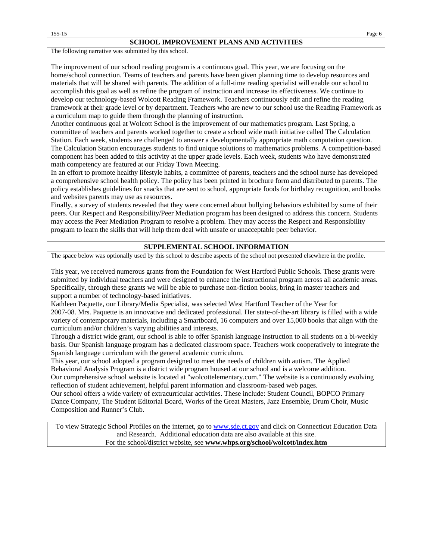The following narrative was submitted by this school.

The improvement of our school reading program is a continuous goal. This year, we are focusing on the home/school connection. Teams of teachers and parents have been given planning time to develop resources and materials that will be shared with parents. The addition of a full-time reading specialist will enable our school to accomplish this goal as well as refine the program of instruction and increase its effectiveness. We continue to develop our technology-based Wolcott Reading Framework. Teachers continuously edit and refine the reading framework at their grade level or by department. Teachers who are new to our school use the Reading Framework as a curriculum map to guide them through the planning of instruction.

Another continuous goal at Wolcott School is the improvement of our mathematics program. Last Spring, a committee of teachers and parents worked together to create a school wide math initiative called The Calculation Station. Each week, students are challenged to answer a developmentally appropriate math computation question. The Calculation Station encourages students to find unique solutions to mathematics problems. A competition-based component has been added to this activity at the upper grade levels. Each week, students who have demonstrated math competency are featured at our Friday Town Meeting.

In an effort to promote healthy lifestyle habits, a committee of parents, teachers and the school nurse has developed a comprehensive school health policy. The policy has been printed in brochure form and distributed to parents. The policy establishes guidelines for snacks that are sent to school, appropriate foods for birthday recognition, and books and websites parents may use as resources.

Finally, a survey of students revealed that they were concerned about bullying behaviors exhibited by some of their peers. Our Respect and Responsibility/Peer Mediation program has been designed to address this concern. Students may access the Peer Mediation Program to resolve a problem. They may access the Respect and Responsibility program to learn the skills that will help them deal with unsafe or unacceptable peer behavior.

#### **SUPPLEMENTAL SCHOOL INFORMATION**

The space below was optionally used by this school to describe aspects of the school not presented elsewhere in the profile.

This year, we received numerous grants from the Foundation for West Hartford Public Schools. These grants were submitted by individual teachers and were designed to enhance the instructional program across all academic areas. Specifically, through these grants we will be able to purchase non-fiction books, bring in master teachers and support a number of technology-based initiatives.

Kathleen Paquette, our Library/Media Specialist, was selected West Hartford Teacher of the Year for 2007-08. Mrs. Paquette is an innovative and dedicated professional. Her state-of-the-art library is filled with a wide variety of contemporary materials, including a Smartboard, 16 computers and over 15,000 books that align with the curriculum and/or children's varying abilities and interests.

Through a district wide grant, our school is able to offer Spanish language instruction to all students on a bi-weekly basis. Our Spanish language program has a dedicated classroom space. Teachers work cooperatively to integrate the Spanish language curriculum with the general academic curriculum.

This year, our school adopted a program designed to meet the needs of children with autism. The Applied Behavioral Analysis Program is a district wide program housed at our school and is a welcome addition.

Our comprehensive school website is located at "wolcottelementary.com." The website is a continuously evolving reflection of student achievement, helpful parent information and classroom-based web pages.

Our school offers a wide variety of extracurricular activities. These include: Student Council, BOPCO Primary Dance Company, The Student Editorial Board, Works of the Great Masters, Jazz Ensemble, Drum Choir, Music Composition and Runner's Club.

To view Strategic School Profiles on the internet, go to [www.sde.ct.gov](http://www.sde.ct.gov/) and click on Connecticut Education Data and Research. Additional education data are also available at this site. For the school/district website, see **www.whps.org/school/wolcott/index.htm**